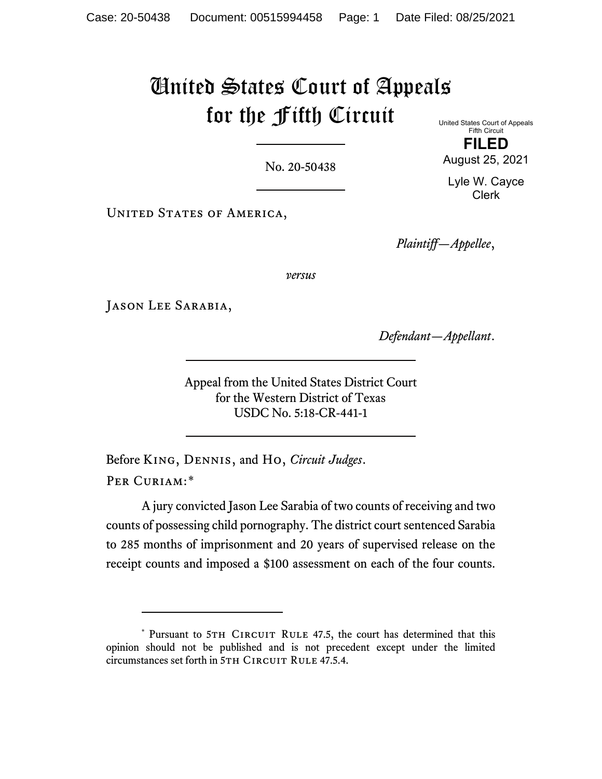# United States Court of Appeals for the Fifth Circuit

No. 20-50438

United States Court of Appeals Fifth Circuit **FILED**

August 25, 2021

Lyle W. Cayce Clerk

UNITED STATES OF AMERICA,

*Plaintiff—Appellee*,

*versus*

Jason Lee Sarabia,

*Defendant—Appellant*.

Appeal from the United States District Court for the Western District of Texas USDC No. 5:18-CR-441-1

Before King, Dennis, and Ho, *Circuit Judges*. PER CURIAM:[\\*](#page-0-0)

A jury convicted Jason Lee Sarabia of two counts of receiving and two counts of possessing child pornography. The district court sentenced Sarabia to 285 months of imprisonment and 20 years of supervised release on the receipt counts and imposed a \$100 assessment on each of the four counts.

<span id="page-0-0"></span><sup>\*</sup> Pursuant to 5TH CIRCUIT RULE 47.5, the court has determined that this opinion should not be published and is not precedent except under the limited circumstances set forth in 5TH CIRCUIT RULE 47.5.4.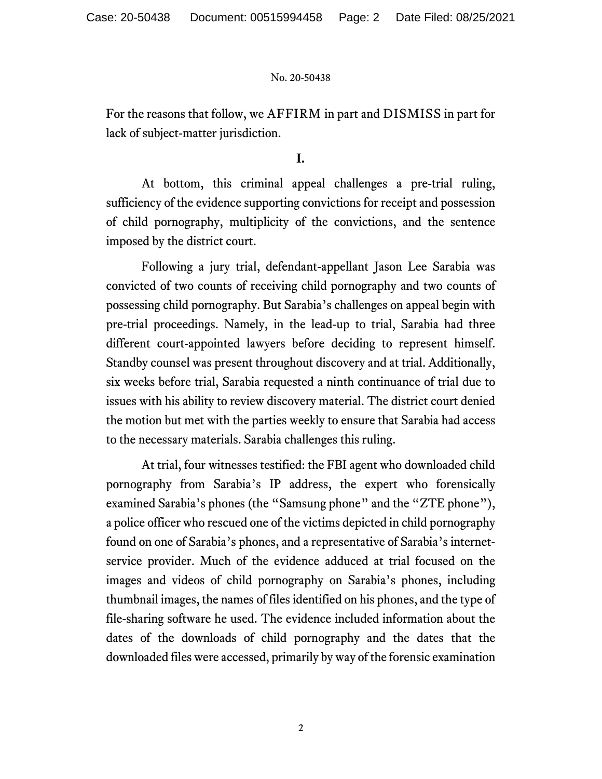For the reasons that follow, we AFFIRM in part and DISMISS in part for lack of subject-matter jurisdiction.

# **I.**

At bottom, this criminal appeal challenges a pre-trial ruling, sufficiency of the evidence supporting convictions for receipt and possession of child pornography, multiplicity of the convictions, and the sentence imposed by the district court.

Following a jury trial, defendant-appellant Jason Lee Sarabia was convicted of two counts of receiving child pornography and two counts of possessing child pornography. But Sarabia's challenges on appeal begin with pre-trial proceedings. Namely, in the lead-up to trial, Sarabia had three different court-appointed lawyers before deciding to represent himself. Standby counsel was present throughout discovery and at trial. Additionally, six weeks before trial, Sarabia requested a ninth continuance of trial due to issues with his ability to review discovery material. The district court denied the motion but met with the parties weekly to ensure that Sarabia had access to the necessary materials. Sarabia challenges this ruling.

At trial, four witnesses testified: the FBI agent who downloaded child pornography from Sarabia's IP address, the expert who forensically examined Sarabia's phones (the "Samsung phone" and the "ZTE phone"), a police officer who rescued one of the victims depicted in child pornography found on one of Sarabia's phones, and a representative of Sarabia's internetservice provider. Much of the evidence adduced at trial focused on the images and videos of child pornography on Sarabia's phones, including thumbnail images, the names of files identified on his phones, and the type of file-sharing software he used. The evidence included information about the dates of the downloads of child pornography and the dates that the downloaded files were accessed, primarily by way of the forensic examination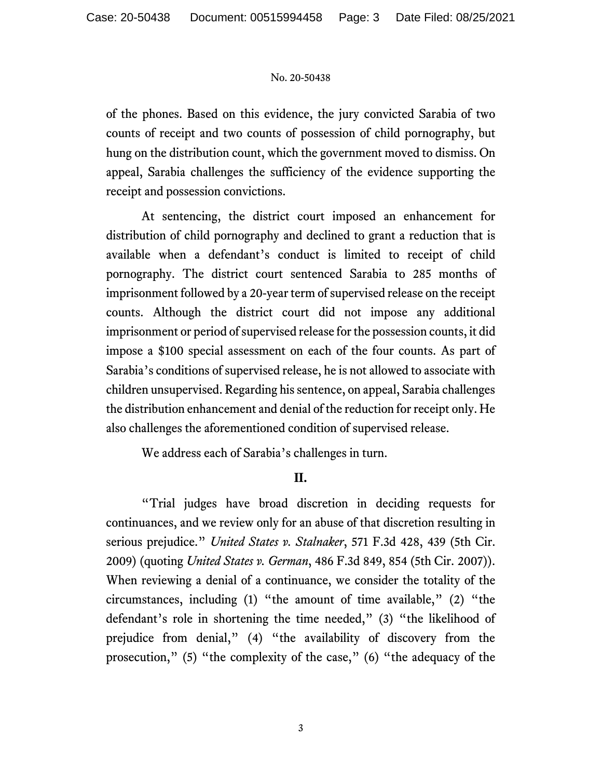of the phones. Based on this evidence, the jury convicted Sarabia of two counts of receipt and two counts of possession of child pornography, but hung on the distribution count, which the government moved to dismiss. On appeal, Sarabia challenges the sufficiency of the evidence supporting the receipt and possession convictions.

At sentencing, the district court imposed an enhancement for distribution of child pornography and declined to grant a reduction that is available when a defendant's conduct is limited to receipt of child pornography. The district court sentenced Sarabia to 285 months of imprisonment followed by a 20-year term of supervised release on the receipt counts. Although the district court did not impose any additional imprisonment or period of supervised release for the possession counts, it did impose a \$100 special assessment on each of the four counts. As part of Sarabia's conditions of supervised release, he is not allowed to associate with children unsupervised. Regarding his sentence, on appeal, Sarabia challenges the distribution enhancement and denial of the reduction for receipt only. He also challenges the aforementioned condition of supervised release.

We address each of Sarabia's challenges in turn.

# **II.**

"Trial judges have broad discretion in deciding requests for continuances, and we review only for an abuse of that discretion resulting in serious prejudice." *United States v. Stalnaker*, 571 F.3d 428, 439 (5th Cir. 2009) (quoting *United States v. German*, 486 F.3d 849, 854 (5th Cir. 2007)). When reviewing a denial of a continuance, we consider the totality of the circumstances, including (1) "the amount of time available," (2) "the defendant's role in shortening the time needed," (3) "the likelihood of prejudice from denial," (4) "the availability of discovery from the prosecution," (5) "the complexity of the case," (6) "the adequacy of the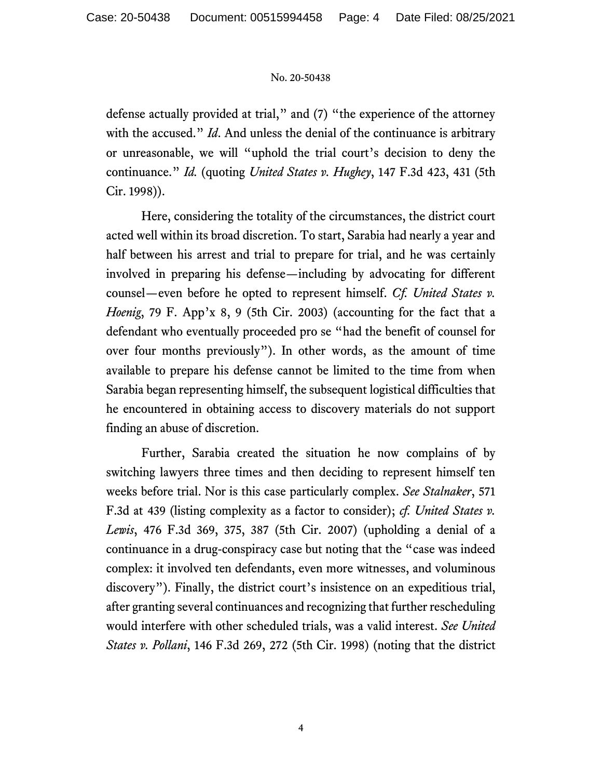defense actually provided at trial," and (7) "the experience of the attorney with the accused." *Id*. And unless the denial of the continuance is arbitrary or unreasonable, we will "uphold the trial court's decision to deny the continuance." *Id.* (quoting *United States v. Hughey*, 147 F.3d 423, 431 (5th Cir. 1998)).

Here, considering the totality of the circumstances, the district court acted well within its broad discretion. To start, Sarabia had nearly a year and half between his arrest and trial to prepare for trial, and he was certainly involved in preparing his defense—including by advocating for different counsel—even before he opted to represent himself. *Cf. United States v. Hoenig*, 79 F. App'x 8, 9 (5th Cir. 2003) (accounting for the fact that a defendant who eventually proceeded pro se "had the benefit of counsel for over four months previously"). In other words, as the amount of time available to prepare his defense cannot be limited to the time from when Sarabia began representing himself, the subsequent logistical difficulties that he encountered in obtaining access to discovery materials do not support finding an abuse of discretion.

Further, Sarabia created the situation he now complains of by switching lawyers three times and then deciding to represent himself ten weeks before trial. Nor is this case particularly complex. *See Stalnaker*, 571 F.3d at 439 (listing complexity as a factor to consider); *cf. United States v. Lewis*, 476 F.3d 369, 375, 387 (5th Cir. 2007) (upholding a denial of a continuance in a drug-conspiracy case but noting that the "case was indeed complex: it involved ten defendants, even more witnesses, and voluminous discovery"). Finally, the district court's insistence on an expeditious trial, after granting several continuances and recognizing that further rescheduling would interfere with other scheduled trials, was a valid interest. *See United States v. Pollani*, 146 F.3d 269, 272 (5th Cir. 1998) (noting that the district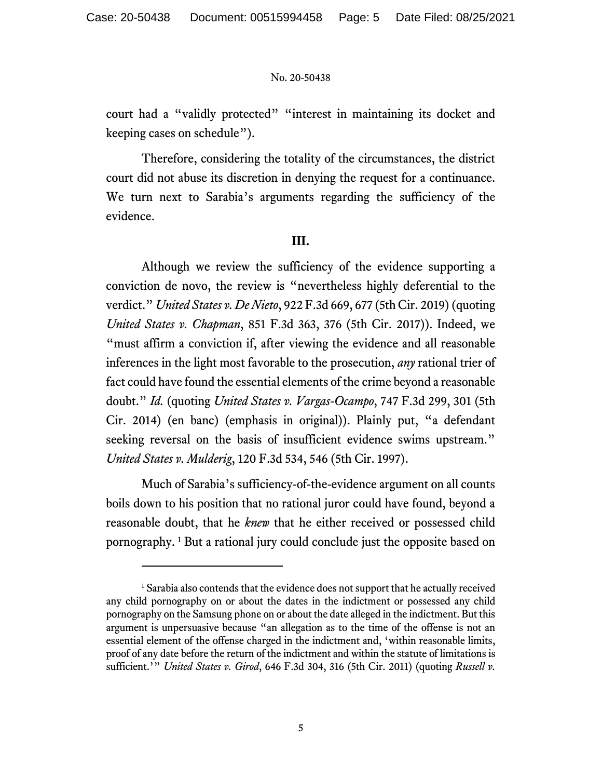court had a "validly protected" "interest in maintaining its docket and keeping cases on schedule").

Therefore, considering the totality of the circumstances, the district court did not abuse its discretion in denying the request for a continuance. We turn next to Sarabia's arguments regarding the sufficiency of the evidence.

### **III.**

Although we review the sufficiency of the evidence supporting a conviction de novo, the review is "nevertheless highly deferential to the verdict." *United States v. De Nieto*, 922 F.3d 669, 677 (5th Cir. 2019) (quoting *United States v. Chapman*, 851 F.3d 363, 376 (5th Cir. 2017)). Indeed, we "must affirm a conviction if, after viewing the evidence and all reasonable inferences in the light most favorable to the prosecution, *any* rational trier of fact could have found the essential elements of the crime beyond a reasonable doubt." *Id.* (quoting *United States v. Vargas-Ocampo*, 747 F.3d 299, 301 (5th Cir. 2014) (en banc) (emphasis in original)). Plainly put, "a defendant seeking reversal on the basis of insufficient evidence swims upstream." *United States v. Mulderig*, 120 F.3d 534, 546 (5th Cir. 1997).

Much of Sarabia's sufficiency-of-the-evidence argument on all counts boils down to his position that no rational juror could have found, beyond a reasonable doubt, that he *knew* that he either received or possessed child pornography. [1](#page-4-0) But a rational jury could conclude just the opposite based on

<span id="page-4-0"></span><sup>&</sup>lt;sup>1</sup> Sarabia also contends that the evidence does not support that he actually received any child pornography on or about the dates in the indictment or possessed any child pornography on the Samsung phone on or about the date alleged in the indictment. But this argument is unpersuasive because "an allegation as to the time of the offense is not an essential element of the offense charged in the indictment and, 'within reasonable limits, proof of any date before the return of the indictment and within the statute of limitations is sufficient.'" *United States v. Girod*, 646 F.3d 304, 316 (5th Cir. 2011) (quoting *Russell v.*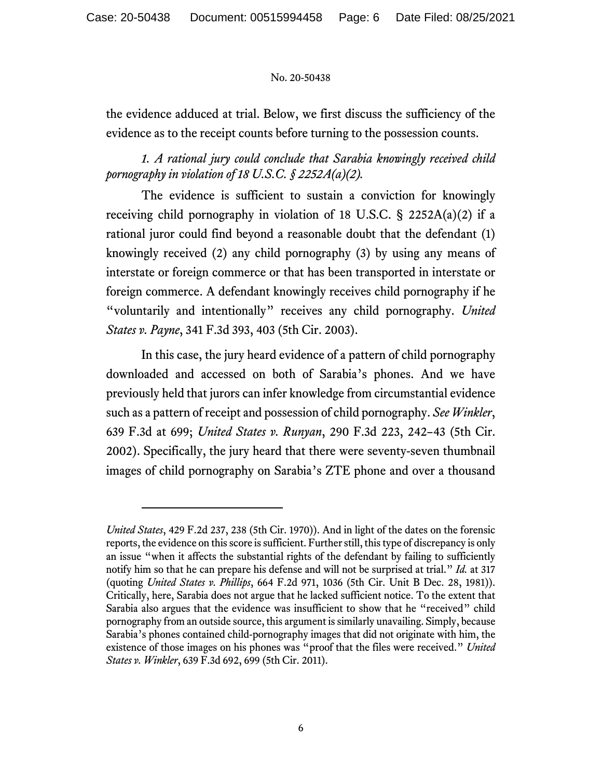the evidence adduced at trial. Below, we first discuss the sufficiency of the evidence as to the receipt counts before turning to the possession counts.

# *1. A rational jury could conclude that Sarabia knowingly received child pornography in violation of 18 U.S.C. § 2252A(a)(2).*

The evidence is sufficient to sustain a conviction for knowingly receiving child pornography in violation of 18 U.S.C.  $\S$  2252A(a)(2) if a rational juror could find beyond a reasonable doubt that the defendant (1) knowingly received (2) any child pornography (3) by using any means of interstate or foreign commerce or that has been transported in interstate or foreign commerce. A defendant knowingly receives child pornography if he "voluntarily and intentionally" receives any child pornography. *United States v. Payne*, 341 F.3d 393, 403 (5th Cir. 2003).

In this case, the jury heard evidence of a pattern of child pornography downloaded and accessed on both of Sarabia's phones. And we have previously held that jurors can infer knowledge from circumstantial evidence such as a pattern of receipt and possession of child pornography. *See Winkler*, 639 F.3d at 699; *United States v. Runyan*, 290 F.3d 223, 242–43 (5th Cir. 2002). Specifically, the jury heard that there were seventy-seven thumbnail images of child pornography on Sarabia's ZTE phone and over a thousand

*United States*, 429 F.2d 237, 238 (5th Cir. 1970)). And in light of the dates on the forensic reports, the evidence on this score is sufficient. Further still, this type of discrepancy is only an issue "when it affects the substantial rights of the defendant by failing to sufficiently notify him so that he can prepare his defense and will not be surprised at trial." *Id.* at 317 (quoting *United States v. Phillips*, 664 F.2d 971, 1036 (5th Cir. Unit B Dec. 28, 1981)). Critically, here, Sarabia does not argue that he lacked sufficient notice. To the extent that Sarabia also argues that the evidence was insufficient to show that he "received" child pornography from an outside source, this argument is similarly unavailing. Simply, because Sarabia's phones contained child-pornography images that did not originate with him, the existence of those images on his phones was "proof that the files were received." *United States v. Winkler*, 639 F.3d 692, 699 (5th Cir. 2011).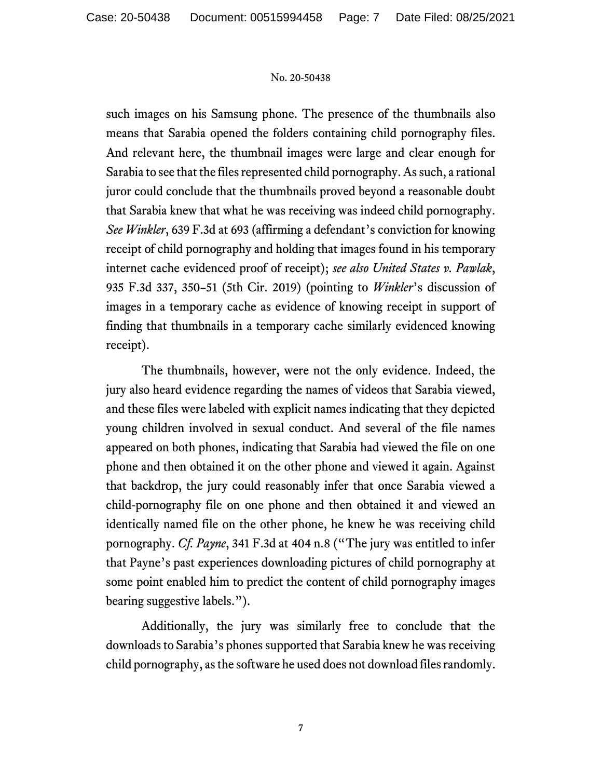such images on his Samsung phone. The presence of the thumbnails also means that Sarabia opened the folders containing child pornography files. And relevant here, the thumbnail images were large and clear enough for Sarabia to see that the files represented child pornography. As such, a rational juror could conclude that the thumbnails proved beyond a reasonable doubt that Sarabia knew that what he was receiving was indeed child pornography. *See Winkler*, 639 F.3d at 693 (affirming a defendant's conviction for knowing receipt of child pornography and holding that images found in his temporary internet cache evidenced proof of receipt); *see also United States v. Pawlak*, 935 F.3d 337, 350–51 (5th Cir. 2019) (pointing to *Winkler*'s discussion of images in a temporary cache as evidence of knowing receipt in support of finding that thumbnails in a temporary cache similarly evidenced knowing receipt).

The thumbnails, however, were not the only evidence. Indeed, the jury also heard evidence regarding the names of videos that Sarabia viewed, and these files were labeled with explicit names indicating that they depicted young children involved in sexual conduct. And several of the file names appeared on both phones, indicating that Sarabia had viewed the file on one phone and then obtained it on the other phone and viewed it again. Against that backdrop, the jury could reasonably infer that once Sarabia viewed a child-pornography file on one phone and then obtained it and viewed an identically named file on the other phone, he knew he was receiving child pornography. *Cf. Payne*, 341 F.3d at 404 n.8 ("The jury was entitled to infer that Payne's past experiences downloading pictures of child pornography at some point enabled him to predict the content of child pornography images bearing suggestive labels.").

Additionally, the jury was similarly free to conclude that the downloads to Sarabia's phones supported that Sarabia knew he was receiving child pornography, as the software he used does not download files randomly.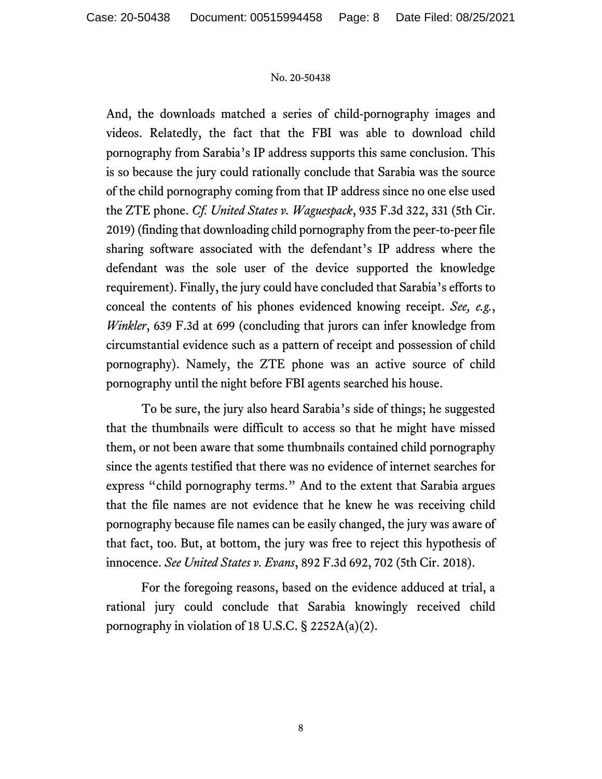And, the downloads matched a series of child-pornography images and videos. Relatedly, the fact that the FBI was able to download child pornography from Sarabia's IP address supports this same conclusion. This is so because the jury could rationally conclude that Sarabia was the source of the child pornography coming from that IP address since no one else used the ZTE phone. *Cf. United States v. Waguespack*, 935 F.3d 322, 331 (5th Cir. 2019) (finding that downloading child pornography from the peer-to-peer file sharing software associated with the defendant's IP address where the defendant was the sole user of the device supported the knowledge requirement). Finally, the jury could have concluded that Sarabia's efforts to conceal the contents of his phones evidenced knowing receipt. *See, e.g.*, *Winkler*, 639 F.3d at 699 (concluding that jurors can infer knowledge from circumstantial evidence such as a pattern of receipt and possession of child pornography). Namely, the ZTE phone was an active source of child pornography until the night before FBI agents searched his house.

To be sure, the jury also heard Sarabia's side of things; he suggested that the thumbnails were difficult to access so that he might have missed them, or not been aware that some thumbnails contained child pornography since the agents testified that there was no evidence of internet searches for express "child pornography terms." And to the extent that Sarabia argues that the file names are not evidence that he knew he was receiving child pornography because file names can be easily changed, the jury was aware of that fact, too. But, at bottom, the jury was free to reject this hypothesis of innocence. *See United States v. Evans*, 892 F.3d 692, 702 (5th Cir. 2018).

For the foregoing reasons, based on the evidence adduced at trial, a rational jury could conclude that Sarabia knowingly received child pornography in violation of 18 U.S.C.  $\S$  2252A(a)(2).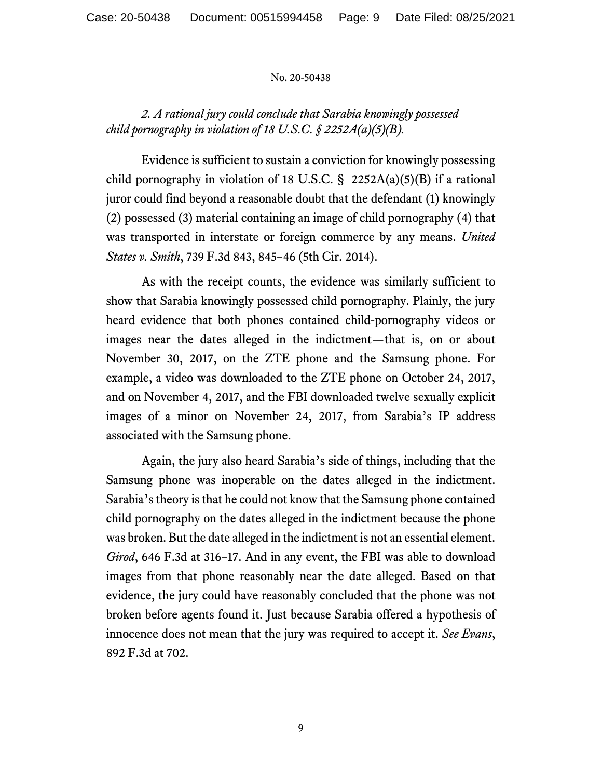# *2. A rational jury could conclude that Sarabia knowingly possessed child pornography in violation of 18 U.S.C. § 2252A(a)(5)(B).*

Evidence is sufficient to sustain a conviction for knowingly possessing child pornography in violation of 18 U.S.C.  $\S$  2252A(a)(5)(B) if a rational juror could find beyond a reasonable doubt that the defendant (1) knowingly (2) possessed (3) material containing an image of child pornography (4) that was transported in interstate or foreign commerce by any means. *United States v. Smith*, 739 F.3d 843, 845–46 (5th Cir. 2014).

As with the receipt counts, the evidence was similarly sufficient to show that Sarabia knowingly possessed child pornography. Plainly, the jury heard evidence that both phones contained child-pornography videos or images near the dates alleged in the indictment—that is, on or about November 30, 2017, on the ZTE phone and the Samsung phone. For example, a video was downloaded to the ZTE phone on October 24, 2017, and on November 4, 2017, and the FBI downloaded twelve sexually explicit images of a minor on November 24, 2017, from Sarabia's IP address associated with the Samsung phone.

Again, the jury also heard Sarabia's side of things, including that the Samsung phone was inoperable on the dates alleged in the indictment. Sarabia's theory is that he could not know that the Samsung phone contained child pornography on the dates alleged in the indictment because the phone was broken. But the date alleged in the indictment is not an essential element. *Girod*, 646 F.3d at 316–17. And in any event, the FBI was able to download images from that phone reasonably near the date alleged. Based on that evidence, the jury could have reasonably concluded that the phone was not broken before agents found it. Just because Sarabia offered a hypothesis of innocence does not mean that the jury was required to accept it. *See Evans*, 892 F.3d at 702.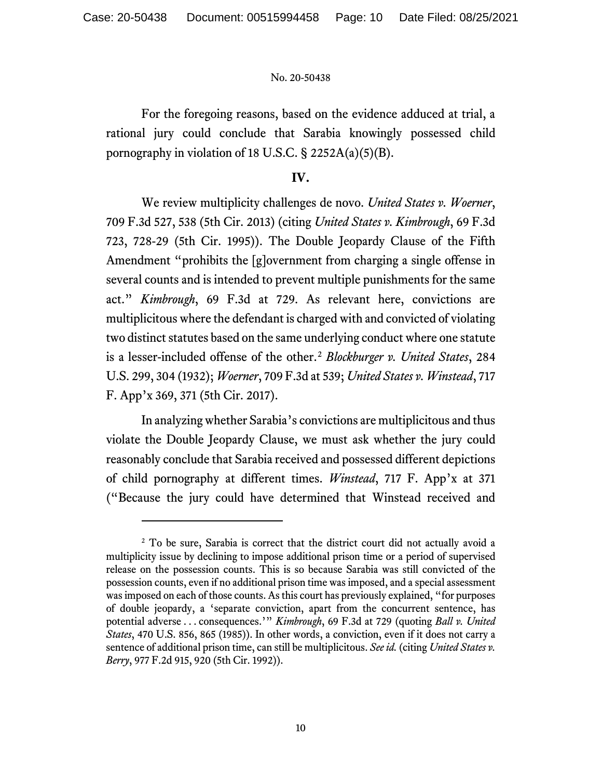For the foregoing reasons, based on the evidence adduced at trial, a rational jury could conclude that Sarabia knowingly possessed child pornography in violation of 18 U.S.C. § 2252A(a)(5)(B).

## **IV.**

We review multiplicity challenges de novo. *United States v. Woerner*, 709 F.3d 527, 538 (5th Cir. 2013) (citing *United States v. Kimbrough*, 69 F.3d 723, 728-29 (5th Cir. 1995)). The Double Jeopardy Clause of the Fifth Amendment "prohibits the [g]overnment from charging a single offense in several counts and is intended to prevent multiple punishments for the same act." *Kimbrough*, 69 F.3d at 729. As relevant here, convictions are multiplicitous where the defendant is charged with and convicted of violating two distinct statutes based on the same underlying conduct where one statute is a lesser-included offense of the other.[2](#page-9-0) *Blockburger v. United States*, 284 U.S. 299, 304 (1932); *Woerner*, 709 F.3d at 539; *United States v. Winstead*, 717 F. App'x 369, 371 (5th Cir. 2017).

In analyzing whether Sarabia's convictions are multiplicitous and thus violate the Double Jeopardy Clause, we must ask whether the jury could reasonably conclude that Sarabia received and possessed different depictions of child pornography at different times. *Winstead*, 717 F. App'x at 371 ("Because the jury could have determined that Winstead received and

<span id="page-9-0"></span><sup>&</sup>lt;sup>2</sup> To be sure, Sarabia is correct that the district court did not actually avoid a multiplicity issue by declining to impose additional prison time or a period of supervised release on the possession counts. This is so because Sarabia was still convicted of the possession counts, even if no additional prison time was imposed, and a special assessment was imposed on each of those counts. As this court has previously explained, "for purposes of double jeopardy, a 'separate conviction, apart from the concurrent sentence, has potential adverse . . . consequences.'" *Kimbrough*, 69 F.3d at 729 (quoting *Ball v. United States*, 470 U.S. 856, 865 (1985)). In other words, a conviction, even if it does not carry a sentence of additional prison time, can still be multiplicitous. *See id.* (citing *United States v. Berry*, 977 F.2d 915, 920 (5th Cir. 1992)).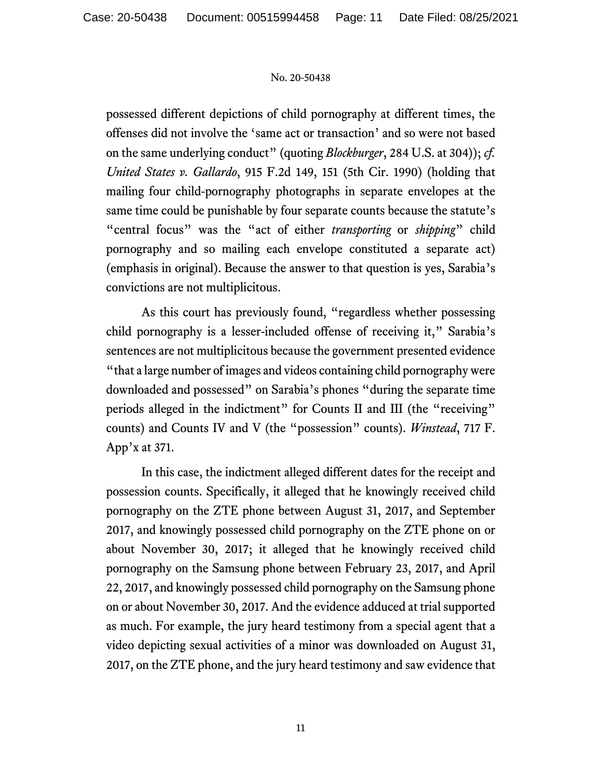possessed different depictions of child pornography at different times, the offenses did not involve the 'same act or transaction' and so were not based on the same underlying conduct" (quoting *Blockburger*, 284 U.S. at 304)); *cf. United States v. Gallardo*, 915 F.2d 149, 151 (5th Cir. 1990) (holding that mailing four child-pornography photographs in separate envelopes at the same time could be punishable by four separate counts because the statute's "central focus" was the "act of either *transporting* or *shipping*" child pornography and so mailing each envelope constituted a separate act) (emphasis in original). Because the answer to that question is yes, Sarabia's convictions are not multiplicitous.

As this court has previously found, "regardless whether possessing child pornography is a lesser-included offense of receiving it," Sarabia's sentences are not multiplicitous because the government presented evidence "that a large number of images and videos containing child pornography were downloaded and possessed" on Sarabia's phones "during the separate time periods alleged in the indictment" for Counts II and III (the "receiving" counts) and Counts IV and V (the "possession" counts). *Winstead*, 717 F. App'x at 371.

In this case, the indictment alleged different dates for the receipt and possession counts. Specifically, it alleged that he knowingly received child pornography on the ZTE phone between August 31, 2017, and September 2017, and knowingly possessed child pornography on the ZTE phone on or about November 30, 2017; it alleged that he knowingly received child pornography on the Samsung phone between February 23, 2017, and April 22, 2017, and knowingly possessed child pornography on the Samsung phone on or about November 30, 2017. And the evidence adduced at trial supported as much. For example, the jury heard testimony from a special agent that a video depicting sexual activities of a minor was downloaded on August 31, 2017, on the ZTE phone, and the jury heard testimony and saw evidence that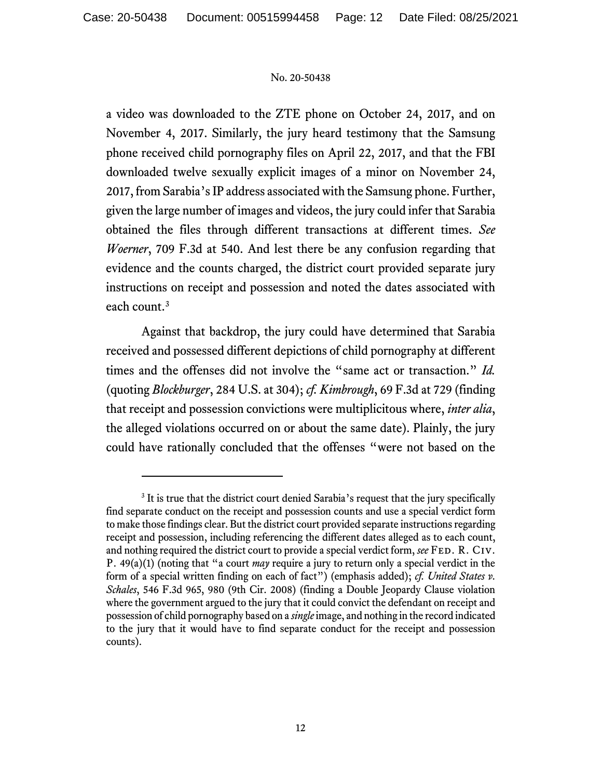a video was downloaded to the ZTE phone on October 24, 2017, and on November 4, 2017. Similarly, the jury heard testimony that the Samsung phone received child pornography files on April 22, 2017, and that the FBI downloaded twelve sexually explicit images of a minor on November 24, 2017, from Sarabia's IP address associated with the Samsung phone. Further, given the large number of images and videos, the jury could infer that Sarabia obtained the files through different transactions at different times. *See Woerner*, 709 F.3d at 540. And lest there be any confusion regarding that evidence and the counts charged, the district court provided separate jury instructions on receipt and possession and noted the dates associated with each count. [3](#page-11-0)

Against that backdrop, the jury could have determined that Sarabia received and possessed different depictions of child pornography at different times and the offenses did not involve the "same act or transaction." *Id.* (quoting *Blockburger*, 284 U.S. at 304); *cf. Kimbrough*, 69 F.3d at 729 (finding that receipt and possession convictions were multiplicitous where, *inter alia*, the alleged violations occurred on or about the same date). Plainly, the jury could have rationally concluded that the offenses "were not based on the

<span id="page-11-0"></span><sup>&</sup>lt;sup>3</sup> It is true that the district court denied Sarabia's request that the jury specifically find separate conduct on the receipt and possession counts and use a special verdict form to make those findings clear. But the district court provided separate instructions regarding receipt and possession, including referencing the different dates alleged as to each count, and nothing required the district court to provide a special verdict form, *see* FED. R. CIV. P. 49(a)(1) (noting that "a court *may* require a jury to return only a special verdict in the form of a special written finding on each of fact") (emphasis added); *cf. United States v. Schales*, 546 F.3d 965, 980 (9th Cir. 2008) (finding a Double Jeopardy Clause violation where the government argued to the jury that it could convict the defendant on receipt and possession of child pornography based on a *single*image, and nothing in the record indicated to the jury that it would have to find separate conduct for the receipt and possession counts).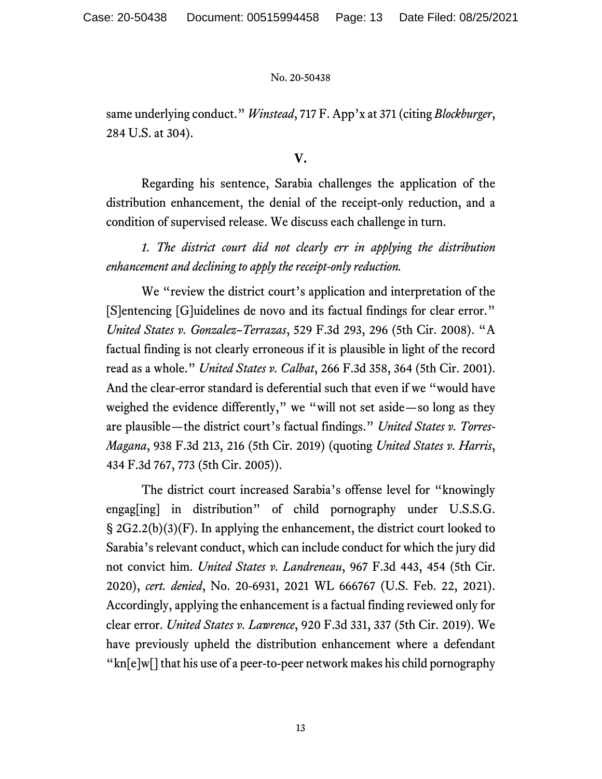same underlying conduct." *Winstead*, 717 F. App'x at 371 (citing *Blockburger*, 284 U.S. at 304).

### **V.**

Regarding his sentence, Sarabia challenges the application of the distribution enhancement, the denial of the receipt-only reduction, and a condition of supervised release. We discuss each challenge in turn.

*1. The district court did not clearly err in applying the distribution enhancement and declining to apply the receipt-only reduction.*

We "review the district court's application and interpretation of the [S]entencing [G]uidelines de novo and its factual findings for clear error." *United States v. Gonzalez–Terrazas*, 529 F.3d 293, 296 (5th Cir. 2008). "A factual finding is not clearly erroneous if it is plausible in light of the record read as a whole." *United States v. Calbat*, 266 F.3d 358, 364 (5th Cir. 2001). And the clear-error standard is deferential such that even if we "would have weighed the evidence differently," we "will not set aside—so long as they are plausible—the district court's factual findings." *United States v. Torres-Magana*, 938 F.3d 213, 216 (5th Cir. 2019) (quoting *United States v. Harris*, 434 F.3d 767, 773 (5th Cir. 2005)).

The district court increased Sarabia's offense level for "knowingly engag[ing] in distribution" of child pornography under U.S.S.G. § 2G2.2(b)(3)(F). In applying the enhancement, the district court looked to Sarabia's relevant conduct, which can include conduct for which the jury did not convict him. *United States v. Landreneau*, 967 F.3d 443, 454 (5th Cir. 2020), *cert. denied*, No. 20-6931, 2021 WL 666767 (U.S. Feb. 22, 2021). Accordingly, applying the enhancement is a factual finding reviewed only for clear error. *United States v. Lawrence*, 920 F.3d 331, 337 (5th Cir. 2019). We have previously upheld the distribution enhancement where a defendant "kn[e]w[] that his use of a peer-to-peer network makes his child pornography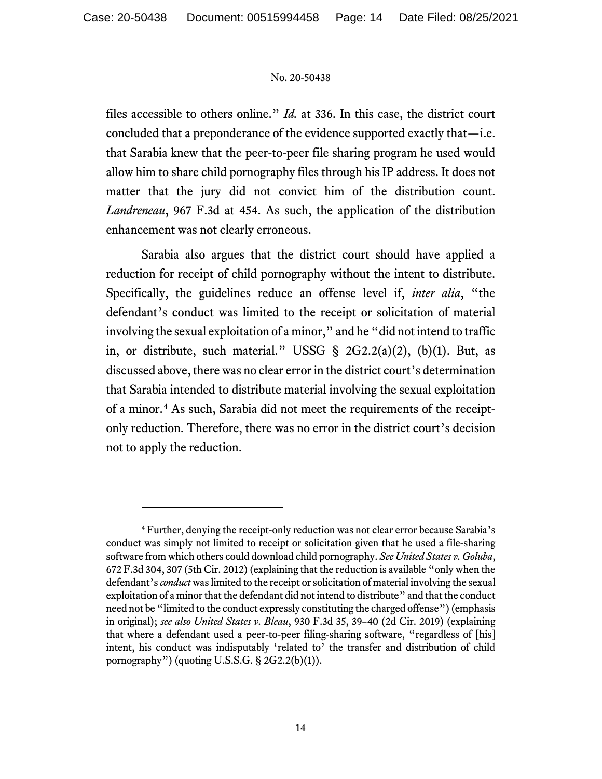files accessible to others online." *Id.* at 336. In this case, the district court concluded that a preponderance of the evidence supported exactly that—i.e. that Sarabia knew that the peer-to-peer file sharing program he used would allow him to share child pornography files through his IP address. It does not matter that the jury did not convict him of the distribution count. *Landreneau*, 967 F.3d at 454. As such, the application of the distribution enhancement was not clearly erroneous.

Sarabia also argues that the district court should have applied a reduction for receipt of child pornography without the intent to distribute. Specifically, the guidelines reduce an offense level if, *inter alia*, "the defendant's conduct was limited to the receipt or solicitation of material involving the sexual exploitation of a minor," and he "did not intend to traffic in, or distribute, such material." USSG § 2G2.2(a)(2), (b)(1). But, as discussed above, there was no clear error in the district court's determination that Sarabia intended to distribute material involving the sexual exploitation of a minor.[4](#page-13-0) As such, Sarabia did not meet the requirements of the receiptonly reduction. Therefore, there was no error in the district court's decision not to apply the reduction.

<span id="page-13-0"></span><sup>4</sup> Further, denying the receipt-only reduction was not clear error because Sarabia's conduct was simply not limited to receipt or solicitation given that he used a file-sharing software from which others could download child pornography. *See United States v. Goluba*, 672 F.3d 304, 307 (5th Cir. 2012) (explaining that the reduction is available "only when the defendant's *conduct* was limited to the receipt orsolicitation of material involving the sexual exploitation of a minor that the defendant did not intend to distribute" and that the conduct need not be "limited to the conduct expressly constituting the charged offense")(emphasis in original); *see also United States v. Bleau*, 930 F.3d 35, 39–40 (2d Cir. 2019) (explaining that where a defendant used a peer-to-peer filing-sharing software, "regardless of [his] intent, his conduct was indisputably 'related to' the transfer and distribution of child pornography") (quoting U.S.S.G.  $\S$  2G2.2(b)(1)).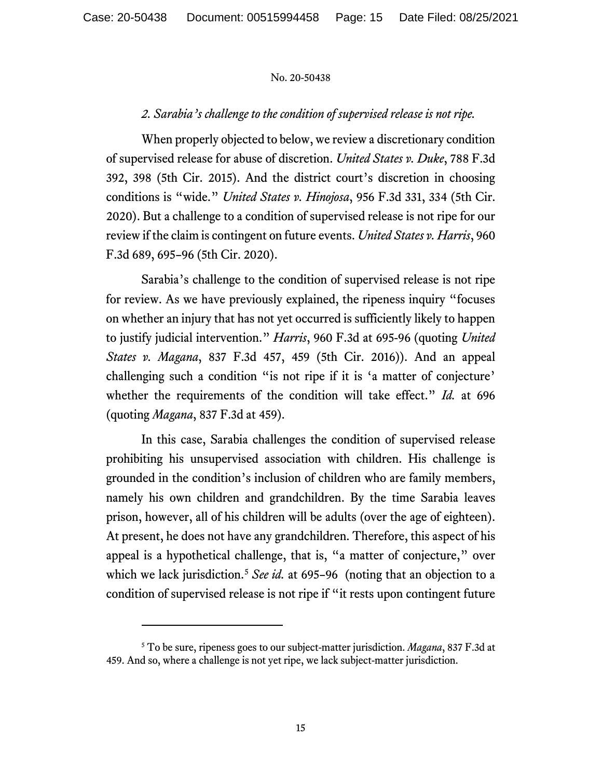# *2. Sarabia's challenge to the condition of supervised release is not ripe.*

When properly objected to below, we review a discretionary condition of supervised release for abuse of discretion. *United States v. Duke*, 788 F.3d 392, 398 (5th Cir. 2015). And the district court's discretion in choosing conditions is "wide." *United States v. Hinojosa*, 956 F.3d 331, 334 (5th Cir. 2020). But a challenge to a condition of supervised release is not ripe for our review if the claim is contingent on future events. *United States v. Harris*, 960 F.3d 689, 695–96 (5th Cir. 2020).

Sarabia's challenge to the condition of supervised release is not ripe for review. As we have previously explained, the ripeness inquiry "focuses on whether an injury that has not yet occurred is sufficiently likely to happen to justify judicial intervention." *Harris*, 960 F.3d at 695-96 (quoting *United States v. Magana*, 837 F.3d 457, 459 (5th Cir. 2016)). And an appeal challenging such a condition "is not ripe if it is 'a matter of conjecture' whether the requirements of the condition will take effect." *Id.* at 696 (quoting *Magana*, 837 F.3d at 459).

In this case, Sarabia challenges the condition of supervised release prohibiting his unsupervised association with children. His challenge is grounded in the condition's inclusion of children who are family members, namely his own children and grandchildren. By the time Sarabia leaves prison, however, all of his children will be adults (over the age of eighteen). At present, he does not have any grandchildren. Therefore, this aspect of his appeal is a hypothetical challenge, that is, "a matter of conjecture," over which we lack jurisdiction.<sup>[5](#page-14-0)</sup> *See id.* at 695–96 (noting that an objection to a condition of supervised release is not ripe if "it rests upon contingent future

<span id="page-14-0"></span><sup>5</sup> To be sure, ripeness goes to our subject-matter jurisdiction. *Magana*, 837 F.3d at 459. And so, where a challenge is not yet ripe, we lack subject-matter jurisdiction.